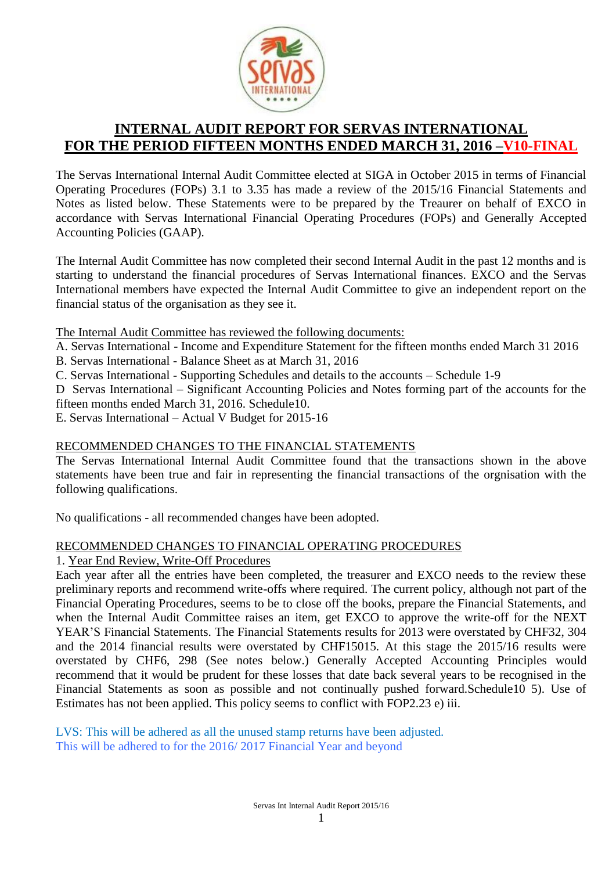

# **INTERNAL AUDIT REPORT FOR SERVAS INTERNATIONAL FOR THE PERIOD FIFTEEN MONTHS ENDED MARCH 31, 2016 –V10-FINAL**

The Servas International Internal Audit Committee elected at SIGA in October 2015 in terms of Financial Operating Procedures (FOPs) 3.1 to 3.35 has made a review of the 2015/16 Financial Statements and Notes as listed below. These Statements were to be prepared by the Treaurer on behalf of EXCO in accordance with Servas International Financial Operating Procedures (FOPs) and Generally Accepted Accounting Policies (GAAP).

The Internal Audit Committee has now completed their second Internal Audit in the past 12 months and is starting to understand the financial procedures of Servas International finances. EXCO and the Servas International members have expected the Internal Audit Committee to give an independent report on the financial status of the organisation as they see it.

The Internal Audit Committee has reviewed the following documents:

- A. Servas International Income and Expenditure Statement for the fifteen months ended March 31 2016
- B. Servas International Balance Sheet as at March 31, 2016
- C. Servas International Supporting Schedules and details to the accounts Schedule 1-9
- D Servas International Significant Accounting Policies and Notes forming part of the accounts for the fifteen months ended March 31, 2016. Schedule10.
- E. Servas International Actual V Budget for 2015-16

# RECOMMENDED CHANGES TO THE FINANCIAL STATEMENTS

The Servas International Internal Audit Committee found that the transactions shown in the above statements have been true and fair in representing the financial transactions of the orgnisation with the following qualifications.

No qualifications - all recommended changes have been adopted.

# RECOMMENDED CHANGES TO FINANCIAL OPERATING PROCEDURES

# 1. Year End Review, Write-Off Procedures

Each year after all the entries have been completed, the treasurer and EXCO needs to the review these preliminary reports and recommend write-offs where required. The current policy, although not part of the Financial Operating Procedures, seems to be to close off the books, prepare the Financial Statements, and when the Internal Audit Committee raises an item, get EXCO to approve the write-off for the NEXT YEAR'S Financial Statements. The Financial Statements results for 2013 were overstated by CHF32, 304 and the 2014 financial results were overstated by CHF15015. At this stage the 2015/16 results were overstated by CHF6, 298 (See notes below.) Generally Accepted Accounting Principles would recommend that it would be prudent for these losses that date back several years to be recognised in the Financial Statements as soon as possible and not continually pushed forward.Schedule10 5). Use of Estimates has not been applied. This policy seems to conflict with FOP2.23 e) iii.

LVS: This will be adhered as all the unused stamp returns have been adjusted. This will be adhered to for the 2016/ 2017 Financial Year and beyond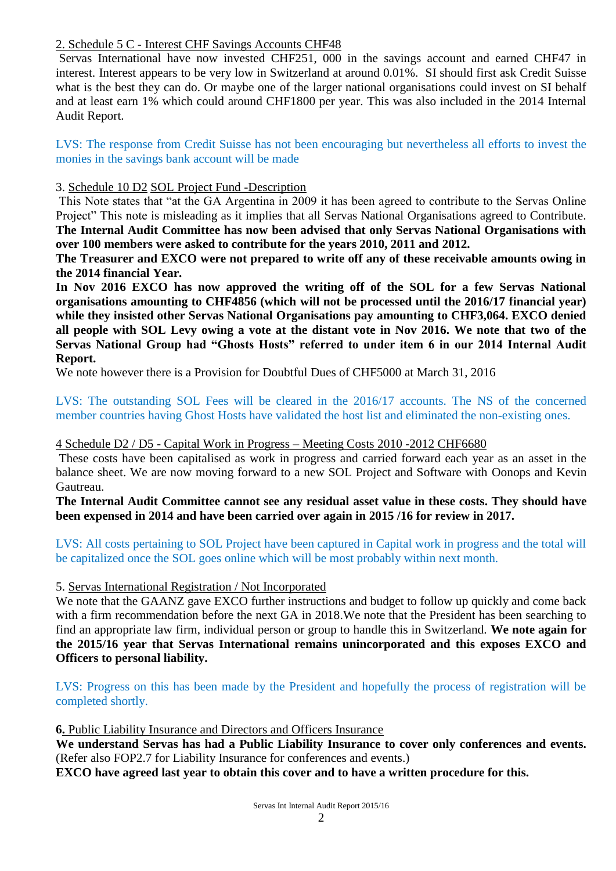# 2. Schedule 5 C - Interest CHF Savings Accounts CHF48

Servas International have now invested CHF251, 000 in the savings account and earned CHF47 in interest. Interest appears to be very low in Switzerland at around 0.01%. SI should first ask Credit Suisse what is the best they can do. Or maybe one of the larger national organisations could invest on SI behalf and at least earn 1% which could around CHF1800 per year. This was also included in the 2014 Internal Audit Report.

LVS: The response from Credit Suisse has not been encouraging but nevertheless all efforts to invest the monies in the savings bank account will be made

# 3. Schedule 10 D2 SOL Project Fund -Description

This Note states that "at the GA Argentina in 2009 it has been agreed to contribute to the Servas Online Project" This note is misleading as it implies that all Servas National Organisations agreed to Contribute. **The Internal Audit Committee has now been advised that only Servas National Organisations with over 100 members were asked to contribute for the years 2010, 2011 and 2012.** 

**The Treasurer and EXCO were not prepared to write off any of these receivable amounts owing in the 2014 financial Year.** 

**In Nov 2016 EXCO has now approved the writing off of the SOL for a few Servas National organisations amounting to CHF4856 (which will not be processed until the 2016/17 financial year) while they insisted other Servas National Organisations pay amounting to CHF3,064. EXCO denied all people with SOL Levy owing a vote at the distant vote in Nov 2016. We note that two of the Servas National Group had "Ghosts Hosts" referred to under item 6 in our 2014 Internal Audit Report.** 

We note however there is a Provision for Doubtful Dues of CHF5000 at March 31, 2016

LVS: The outstanding SOL Fees will be cleared in the 2016/17 accounts. The NS of the concerned member countries having Ghost Hosts have validated the host list and eliminated the non-existing ones.

#### 4 Schedule D2 / D5 - Capital Work in Progress – Meeting Costs 2010 -2012 CHF6680

These costs have been capitalised as work in progress and carried forward each year as an asset in the balance sheet. We are now moving forward to a new SOL Project and Software with Oonops and Kevin Gautreau.

**The Internal Audit Committee cannot see any residual asset value in these costs. They should have been expensed in 2014 and have been carried over again in 2015 /16 for review in 2017.** 

LVS: All costs pertaining to SOL Project have been captured in Capital work in progress and the total will be capitalized once the SOL goes online which will be most probably within next month.

5. Servas International Registration / Not Incorporated

We note that the GAANZ gave EXCO further instructions and budget to follow up quickly and come back with a firm recommendation before the next GA in 2018.We note that the President has been searching to find an appropriate law firm, individual person or group to handle this in Switzerland. **We note again for the 2015/16 year that Servas International remains unincorporated and this exposes EXCO and Officers to personal liability.** 

LVS: Progress on this has been made by the President and hopefully the process of registration will be completed shortly.

**6.** Public Liability Insurance and Directors and Officers Insurance

**We understand Servas has had a Public Liability Insurance to cover only conferences and events.** (Refer also FOP2.7 for Liability Insurance for conferences and events.)

**EXCO have agreed last year to obtain this cover and to have a written procedure for this.**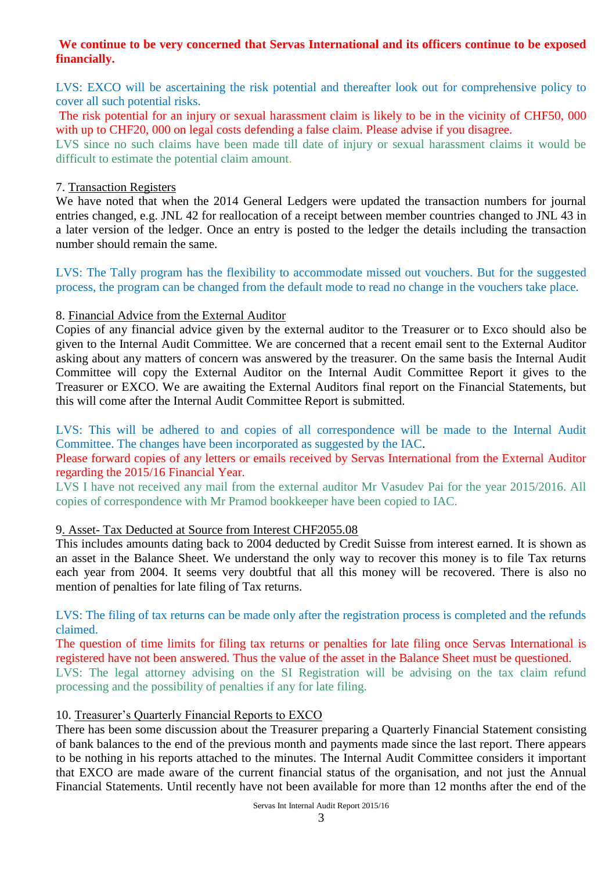# **We continue to be very concerned that Servas International and its officers continue to be exposed financially.**

LVS: EXCO will be ascertaining the risk potential and thereafter look out for comprehensive policy to cover all such potential risks.

The risk potential for an injury or sexual harassment claim is likely to be in the vicinity of CHF50, 000 with up to CHF20, 000 on legal costs defending a false claim. Please advise if you disagree.

LVS since no such claims have been made till date of injury or sexual harassment claims it would be difficult to estimate the potential claim amount.

#### 7. Transaction Registers

We have noted that when the 2014 General Ledgers were updated the transaction numbers for journal entries changed, e.g. JNL 42 for reallocation of a receipt between member countries changed to JNL 43 in a later version of the ledger. Once an entry is posted to the ledger the details including the transaction number should remain the same.

LVS: The Tally program has the flexibility to accommodate missed out vouchers. But for the suggested process, the program can be changed from the default mode to read no change in the vouchers take place.

#### 8. Financial Advice from the External Auditor

Copies of any financial advice given by the external auditor to the Treasurer or to Exco should also be given to the Internal Audit Committee. We are concerned that a recent email sent to the External Auditor asking about any matters of concern was answered by the treasurer. On the same basis the Internal Audit Committee will copy the External Auditor on the Internal Audit Committee Report it gives to the Treasurer or EXCO. We are awaiting the External Auditors final report on the Financial Statements, but this will come after the Internal Audit Committee Report is submitted.

LVS: This will be adhered to and copies of all correspondence will be made to the Internal Audit Committee. The changes have been incorporated as suggested by the IAC.

Please forward copies of any letters or emails received by Servas International from the External Auditor regarding the 2015/16 Financial Year.

LVS I have not received any mail from the external auditor Mr Vasudev Pai for the year 2015/2016. All copies of correspondence with Mr Pramod bookkeeper have been copied to IAC.

# 9. Asset- Tax Deducted at Source from Interest CHF2055.08

This includes amounts dating back to 2004 deducted by Credit Suisse from interest earned. It is shown as an asset in the Balance Sheet. We understand the only way to recover this money is to file Tax returns each year from 2004. It seems very doubtful that all this money will be recovered. There is also no mention of penalties for late filing of Tax returns.

LVS: The filing of tax returns can be made only after the registration process is completed and the refunds claimed.

The question of time limits for filing tax returns or penalties for late filing once Servas International is registered have not been answered. Thus the value of the asset in the Balance Sheet must be questioned. LVS: The legal attorney advising on the SI Registration will be advising on the tax claim refund

processing and the possibility of penalties if any for late filing.

#### 10. Treasurer's Quarterly Financial Reports to EXCO

There has been some discussion about the Treasurer preparing a Quarterly Financial Statement consisting of bank balances to the end of the previous month and payments made since the last report. There appears to be nothing in his reports attached to the minutes. The Internal Audit Committee considers it important that EXCO are made aware of the current financial status of the organisation, and not just the Annual Financial Statements. Until recently have not been available for more than 12 months after the end of the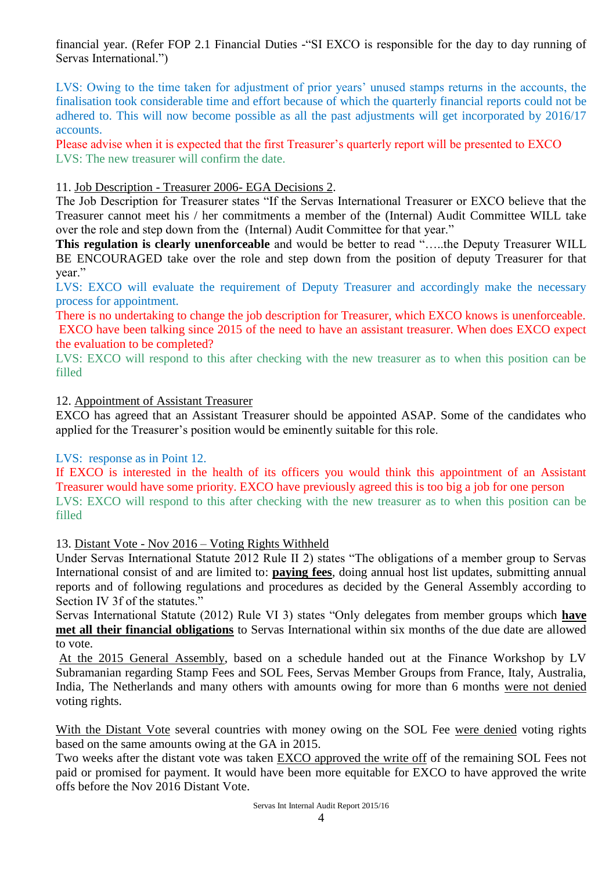financial year. (Refer FOP 2.1 Financial Duties -"SI EXCO is responsible for the day to day running of Servas International.")

LVS: Owing to the time taken for adjustment of prior years' unused stamps returns in the accounts, the finalisation took considerable time and effort because of which the quarterly financial reports could not be adhered to. This will now become possible as all the past adjustments will get incorporated by 2016/17 accounts.

Please advise when it is expected that the first Treasurer's quarterly report will be presented to EXCO LVS: The new treasurer will confirm the date.

# 11. Job Description - Treasurer 2006- EGA Decisions 2.

The Job Description for Treasurer states "If the Servas International Treasurer or EXCO believe that the Treasurer cannot meet his / her commitments a member of the (Internal) Audit Committee WILL take over the role and step down from the (Internal) Audit Committee for that year."

**This regulation is clearly unenforceable** and would be better to read "…..the Deputy Treasurer WILL BE ENCOURAGED take over the role and step down from the position of deputy Treasurer for that year."

LVS: EXCO will evaluate the requirement of Deputy Treasurer and accordingly make the necessary process for appointment.

There is no undertaking to change the job description for Treasurer, which EXCO knows is unenforceable. EXCO have been talking since 2015 of the need to have an assistant treasurer. When does EXCO expect the evaluation to be completed?

LVS: EXCO will respond to this after checking with the new treasurer as to when this position can be filled

#### 12. Appointment of Assistant Treasurer

EXCO has agreed that an Assistant Treasurer should be appointed ASAP. Some of the candidates who applied for the Treasurer's position would be eminently suitable for this role.

#### LVS: response as in Point 12.

If EXCO is interested in the health of its officers you would think this appointment of an Assistant Treasurer would have some priority. EXCO have previously agreed this is too big a job for one person LVS: EXCO will respond to this after checking with the new treasurer as to when this position can be filled

13. Distant Vote - Nov 2016 – Voting Rights Withheld

Under Servas International Statute 2012 Rule II 2) states "The obligations of a member group to Servas International consist of and are limited to: **paying fees**, doing annual host list updates, submitting annual reports and of following regulations and procedures as decided by the General Assembly according to Section IV 3f of the statutes."

Servas International Statute (2012) Rule VI 3) states "Only delegates from member groups which **have met all their financial obligations** to Servas International within six months of the due date are allowed to vote.

At the 2015 General Assembly, based on a schedule handed out at the Finance Workshop by LV Subramanian regarding Stamp Fees and SOL Fees, Servas Member Groups from France, Italy, Australia, India, The Netherlands and many others with amounts owing for more than 6 months were not denied voting rights.

With the Distant Vote several countries with money owing on the SOL Fee were denied voting rights based on the same amounts owing at the GA in 2015.

Two weeks after the distant vote was taken EXCO approved the write off of the remaining SOL Fees not paid or promised for payment. It would have been more equitable for EXCO to have approved the write offs before the Nov 2016 Distant Vote.